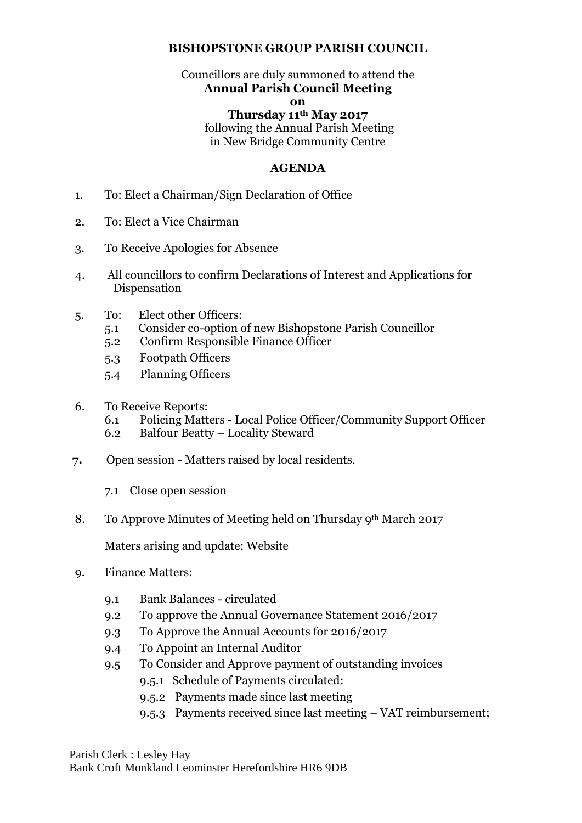## **BISHOPSTONE GROUP PARISH COUNCIL**

# Councillors are duly summoned to attend the **Annual Parish Council Meeting**

## **on**

### **Thursday 11th May 2017** following the Annual Parish Meeting in New Bridge Community Centre

### **AGENDA**

- 1. To: Elect a Chairman/Sign Declaration of Office
- 2. To: Elect a Vice Chairman
- 3. To Receive Apologies for Absence
- 4. All councillors to confirm Declarations of Interest and Applications for Dispensation
- 5. To: Elect other Officers:
	- 5.1 Consider co-option of new Bishopstone Parish Councillor
	- 5.2 Confirm Responsible Finance Officer
	- 5.3 Footpath Officers
	- 5.4 Planning Officers
- 6. To Receive Reports:
	- 6.1 Policing Matters Local Police Officer/Community Support Officer
	- 6.2 Balfour Beatty Locality Steward
- **7.** Open session Matters raised by local residents.
	- 7.1 Close open session
- 8. To Approve Minutes of Meeting held on Thursday 9th March 2017

Maters arising and update: Website

- 9. Finance Matters:
	- 9.1 Bank Balances circulated
	- 9.2 To approve the Annual Governance Statement 2016/2017
	- 9.3 To Approve the Annual Accounts for 2016/2017
	- 9.4 To Appoint an Internal Auditor
	- 9.5 To Consider and Approve payment of outstanding invoices
		- 9.5.1 Schedule of Payments circulated:
		- 9.5.2 Payments made since last meeting
		- 9.5.3 Payments received since last meeting VAT reimbursement;